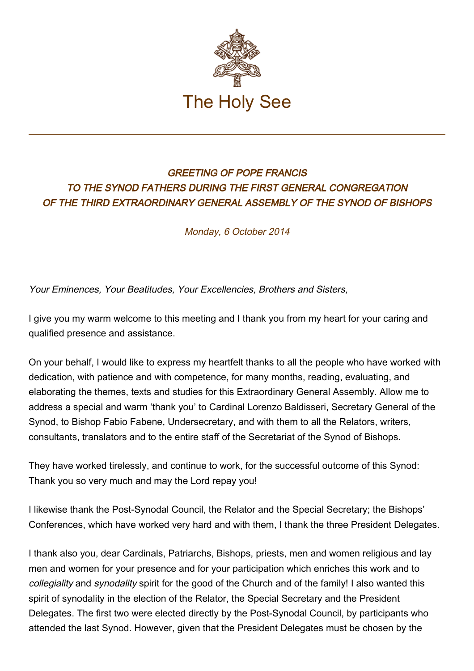

## GREETING OF POPE FRANCIS TO THE SYNOD FATHERS DURING THE FIRST GENERAL CONGREGATION OF THE THIRD EXTRAORDINARY GENERAL ASSEMBLY OF THE SYNOD OF BISHOPS

Monday, 6 October 2014

Your Eminences, Your Beatitudes, Your Excellencies, Brothers and Sisters,

I give you my warm welcome to this meeting and I thank you from my heart for your caring and qualified presence and assistance.

On your behalf, I would like to express my heartfelt thanks to all the people who have worked with dedication, with patience and with competence, for many months, reading, evaluating, and elaborating the themes, texts and studies for this Extraordinary General Assembly. Allow me to address a special and warm 'thank you' to Cardinal Lorenzo Baldisseri, Secretary General of the Synod, to Bishop Fabio Fabene, Undersecretary, and with them to all the Relators, writers, consultants, translators and to the entire staff of the Secretariat of the Synod of Bishops.

They have worked tirelessly, and continue to work, for the successful outcome of this Synod: Thank you so very much and may the Lord repay you!

I likewise thank the Post-Synodal Council, the Relator and the Special Secretary; the Bishops' Conferences, which have worked very hard and with them, I thank the three President Delegates.

I thank also you, dear Cardinals, Patriarchs, Bishops, priests, men and women religious and lay men and women for your presence and for your participation which enriches this work and to collegiality and synodality spirit for the good of the Church and of the family! I also wanted this spirit of synodality in the election of the Relator, the Special Secretary and the President Delegates. The first two were elected directly by the Post-Synodal Council, by participants who attended the last Synod. However, given that the President Delegates must be chosen by the